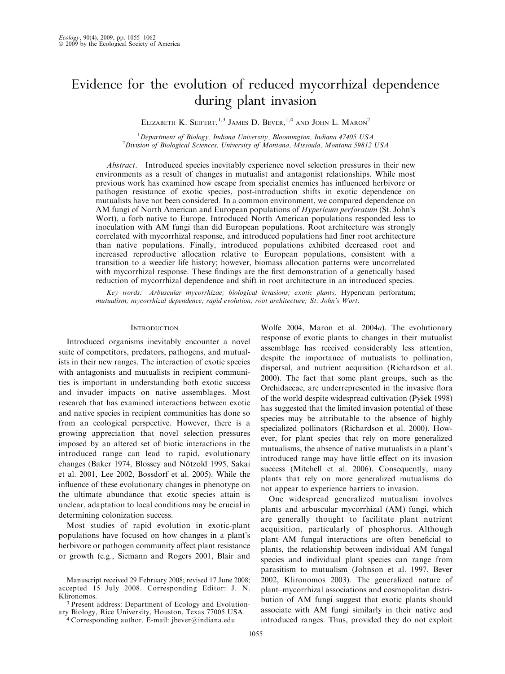# Evidence for the evolution of reduced mycorrhizal dependence during plant invasion

ELIZABETH K. SEIFERT, <sup>1,3</sup> JAMES D. BEVER, <sup>1,4</sup> AND JOHN L. MARON<sup>2</sup>

<sup>1</sup> Department of Biology, Indiana University, Bloomington, Indiana 47405 USA<br><sup>2</sup> Division of Biological Sciences, University of Montana, Missoula, Montana 50812  $^{2}$ Division of Biological Sciences, University of Montana, Missoula, Montana 59812 USA

Abstract. Introduced species inevitably experience novel selection pressures in their new environments as a result of changes in mutualist and antagonist relationships. While most previous work has examined how escape from specialist enemies has influenced herbivore or pathogen resistance of exotic species, post-introduction shifts in exotic dependence on mutualists have not been considered. In a common environment, we compared dependence on AM fungi of North American and European populations of *Hypericum perforatum* (St. John's Wort), a forb native to Europe. Introduced North American populations responded less to inoculation with AM fungi than did European populations. Root architecture was strongly correlated with mycorrhizal response, and introduced populations had finer root architecture than native populations. Finally, introduced populations exhibited decreased root and increased reproductive allocation relative to European populations, consistent with a transition to a weedier life history; however, biomass allocation patterns were uncorrelated with mycorrhizal response. These findings are the first demonstration of a genetically based reduction of mycorrhizal dependence and shift in root architecture in an introduced species.

Key words: Arbuscular mycorrhizae; biological invasions; exotic plants; Hypericum perforatum; mutualism; mycorrhizal dependence; rapid evolution; root architecture; St. John's Wort.

## **INTRODUCTION**

Introduced organisms inevitably encounter a novel suite of competitors, predators, pathogens, and mutualists in their new ranges. The interaction of exotic species with antagonists and mutualists in recipient communities is important in understanding both exotic success and invader impacts on native assemblages. Most research that has examined interactions between exotic and native species in recipient communities has done so from an ecological perspective. However, there is a growing appreciation that novel selection pressures imposed by an altered set of biotic interactions in the introduced range can lead to rapid, evolutionary changes (Baker 1974, Blossey and Nötzold 1995, Sakai et al. 2001, Lee 2002, Bossdorf et al. 2005). While the influence of these evolutionary changes in phenotype on the ultimate abundance that exotic species attain is unclear, adaptation to local conditions may be crucial in determining colonization success.

Most studies of rapid evolution in exotic-plant populations have focused on how changes in a plant's herbivore or pathogen community affect plant resistance or growth (e.g., Siemann and Rogers 2001, Blair and Wolfe 2004, Maron et al. 2004a). The evolutionary response of exotic plants to changes in their mutualist assemblage has received considerably less attention, despite the importance of mutualists to pollination, dispersal, and nutrient acquisition (Richardson et al. 2000). The fact that some plant groups, such as the Orchidaceae, are underrepresented in the invasive flora of the world despite widespread cultivation (Pyšek 1998) has suggested that the limited invasion potential of these species may be attributable to the absence of highly specialized pollinators (Richardson et al. 2000). However, for plant species that rely on more generalized mutualisms, the absence of native mutualists in a plant's introduced range may have little effect on its invasion success (Mitchell et al. 2006). Consequently, many plants that rely on more generalized mutualisms do not appear to experience barriers to invasion.

One widespread generalized mutualism involves plants and arbuscular mycorrhizal (AM) fungi, which are generally thought to facilitate plant nutrient acquisition, particularly of phosphorus. Although plant–AM fungal interactions are often beneficial to plants, the relationship between individual AM fungal species and individual plant species can range from parasitism to mutualism (Johnson et al. 1997, Bever 2002, Klironomos 2003). The generalized nature of plant–mycorrhizal associations and cosmopolitan distribution of AM fungi suggest that exotic plants should associate with AM fungi similarly in their native and introduced ranges. Thus, provided they do not exploit

Manuscript received 29 February 2008; revised 17 June 2008; accepted 15 July 2008. Corresponding Editor: J. N. Klironomos.

<sup>3</sup> Present address: Department of Ecology and Evolutionary Biology, Rice University, Houston, Texas 77005 USA.

 $4$  Corresponding author. E-mail: jbever@indiana.edu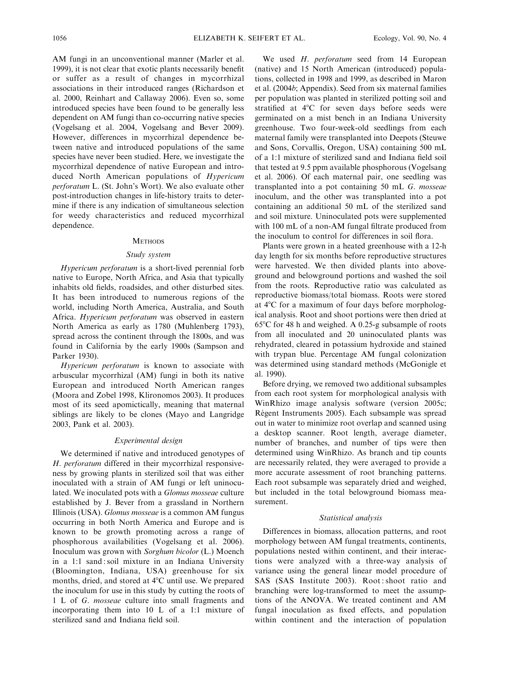AM fungi in an unconventional manner (Marler et al. 1999), it is not clear that exotic plants necessarily benefit or suffer as a result of changes in mycorrhizal associations in their introduced ranges (Richardson et al. 2000, Reinhart and Callaway 2006). Even so, some introduced species have been found to be generally less dependent on AM fungi than co-occurring native species (Vogelsang et al. 2004, Vogelsang and Bever 2009). However, differences in mycorrhizal dependence between native and introduced populations of the same species have never been studied. Here, we investigate the mycorrhizal dependence of native European and introduced North American populations of Hypericum perforatum L. (St. John's Wort). We also evaluate other post-introduction changes in life-history traits to determine if there is any indication of simultaneous selection for weedy characteristics and reduced mycorrhizal dependence.

## **METHODS**

## Study system

Hypericum perforatum is a short-lived perennial forb native to Europe, North Africa, and Asia that typically inhabits old fields, roadsides, and other disturbed sites. It has been introduced to numerous regions of the world, including North America, Australia, and South Africa. Hypericum perforatum was observed in eastern North America as early as 1780 (Muhlenberg 1793), spread across the continent through the 1800s, and was found in California by the early 1900s (Sampson and Parker 1930).

Hypericum perforatum is known to associate with arbuscular mycorrhizal (AM) fungi in both its native European and introduced North American ranges (Moora and Zobel 1998, Klironomos 2003). It produces most of its seed apomictically, meaning that maternal siblings are likely to be clones (Mayo and Langridge 2003, Pank et al. 2003).

#### Experimental design

We determined if native and introduced genotypes of H. perforatum differed in their mycorrhizal responsiveness by growing plants in sterilized soil that was either inoculated with a strain of AM fungi or left uninoculated. We inoculated pots with a Glomus mosseae culture established by J. Bever from a grassland in Northern Illinois (USA). Glomus mosseae is a common AM fungus occurring in both North America and Europe and is known to be growth promoting across a range of phosphorous availabilities (Vogelsang et al. 2006). Inoculum was grown with Sorghum bicolor (L.) Moench in a 1:1 sand : soil mixture in an Indiana University (Bloomington, Indiana, USA) greenhouse for six months, dried, and stored at  $4^{\circ}$ C until use. We prepared the inoculum for use in this study by cutting the roots of 1 L of G. mosseae culture into small fragments and incorporating them into 10 L of a 1:1 mixture of sterilized sand and Indiana field soil.

We used H. perforatum seed from 14 European (native) and 15 North American (introduced) populations, collected in 1998 and 1999, as described in Maron et al. (2004b; Appendix). Seed from six maternal families per population was planted in sterilized potting soil and stratified at 4°C for seven days before seeds were germinated on a mist bench in an Indiana University greenhouse. Two four-week-old seedlings from each maternal family were transplanted into Deepots (Steuwe and Sons, Corvallis, Oregon, USA) containing 500 mL of a 1:1 mixture of sterilized sand and Indiana field soil that tested at 9.5 ppm available phosphorous (Vogelsang et al. 2006). Of each maternal pair, one seedling was transplanted into a pot containing 50 mL G. mosseae inoculum, and the other was transplanted into a pot containing an additional 50 mL of the sterilized sand and soil mixture. Uninoculated pots were supplemented with 100 mL of a non-AM fungal filtrate produced from the inoculum to control for differences in soil flora.

Plants were grown in a heated greenhouse with a 12-h day length for six months before reproductive structures were harvested. We then divided plants into aboveground and belowground portions and washed the soil from the roots. Reproductive ratio was calculated as reproductive biomass/total biomass. Roots were stored at  $4^{\circ}$ C for a maximum of four days before morphological analysis. Root and shoot portions were then dried at 65°C for 48 h and weighed. A 0.25-g subsample of roots from all inoculated and 20 uninoculated plants was rehydrated, cleared in potassium hydroxide and stained with trypan blue. Percentage AM fungal colonization was determined using standard methods (McGonigle et al. 1990).

Before drying, we removed two additional subsamples from each root system for morphological analysis with WinRhizo image analysis software (version 2005c; Régent Instruments 2005). Each subsample was spread out in water to minimize root overlap and scanned using a desktop scanner. Root length, average diameter, number of branches, and number of tips were then determined using WinRhizo. As branch and tip counts are necessarily related, they were averaged to provide a more accurate assessment of root branching patterns. Each root subsample was separately dried and weighed, but included in the total belowground biomass measurement.

## Statistical analysis

Differences in biomass, allocation patterns, and root morphology between AM fungal treatments, continents, populations nested within continent, and their interactions were analyzed with a three-way analysis of variance using the general linear model procedure of SAS (SAS Institute 2003). Root: shoot ratio and branching were log-transformed to meet the assumptions of the ANOVA. We treated continent and AM fungal inoculation as fixed effects, and population within continent and the interaction of population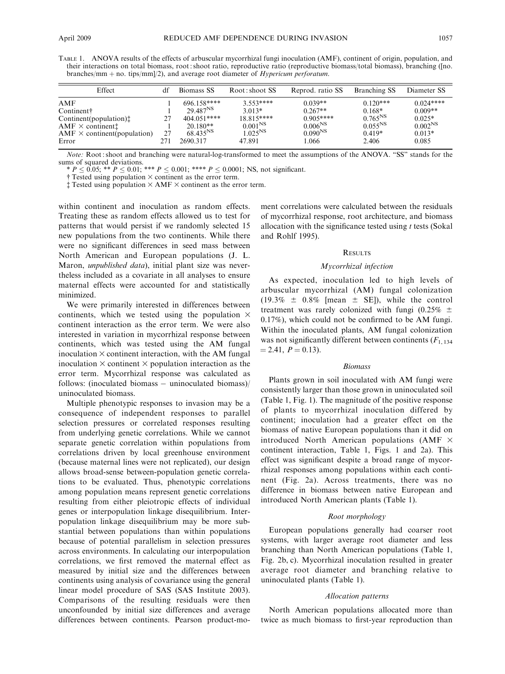| TABLE 1. ANOVA results of the effects of arbuscular mycorrhizal fungi inoculation (AMF), continent of origin, population, and    |  |
|----------------------------------------------------------------------------------------------------------------------------------|--|
| their interactions on total biomass, root: shoot ratio, reproductive ratio (reproductive biomass/total biomass), branching ([no. |  |
| branches/mm + no. tips/mm]/2), and average root diameter of <i>Hypericum perforatum</i> .                                        |  |

| Effect                                                                                                                | df        | Biomass SS                                                                              | Root: shoot SS                                                                  | Reprod. ratio SS                                                              | Branching SS                                                                | Diameter SS                                                              |
|-----------------------------------------------------------------------------------------------------------------------|-----------|-----------------------------------------------------------------------------------------|---------------------------------------------------------------------------------|-------------------------------------------------------------------------------|-----------------------------------------------------------------------------|--------------------------------------------------------------------------|
| AMF<br>Continent†<br>Continent(population):<br>$AMF \times$ continent:<br>$AMF \times$ continent(population)<br>Error | 27<br>271 | 696.158****<br>$29.487^{NS}$<br>$404.051***$<br>$20.180**$<br>$68.435^{NS}$<br>2690.317 | $3.553***$<br>$3.013*$<br>$18.815***$<br>$0.001^{NS}$<br>$1.025^{NS}$<br>47.891 | $0.039**$<br>$0.267**$<br>$0.905***$<br>$0.006^{NS}$<br>$0.090^{NS}$<br>1.066 | $0.120***$<br>$0.168*$<br>$0.765^{NS}$<br>$0.055^{NS}$<br>$0.419*$<br>2.406 | $0.024***$<br>$0.009**$<br>$0.025*$<br>$0.002^{NS}$<br>$0.013*$<br>0.085 |

Note: Root: shoot and branching were natural-log-transformed to meet the assumptions of the ANOVA. "SS" stands for the sums of squared deviations.

\* P < 0.05; \*\* P < 0.01; \*\*\* P < 0.001; \*\*\*\* P < 0.0001; NS, not significant.

 $\dagger$  Tested using population  $\times$  continent as the error term.

 $\ddagger$  Tested using population  $\times$  AMF  $\times$  continent as the error term.

within continent and inoculation as random effects. Treating these as random effects allowed us to test for patterns that would persist if we randomly selected 15 new populations from the two continents. While there were no significant differences in seed mass between North American and European populations (J. L. Maron, *unpublished data*), initial plant size was nevertheless included as a covariate in all analyses to ensure maternal effects were accounted for and statistically minimized.

We were primarily interested in differences between continents, which we tested using the population  $\times$ continent interaction as the error term. We were also interested in variation in mycorrhizal response between continents, which was tested using the AM fungal inoculation  $\times$  continent interaction, with the AM fungal inoculation  $\times$  continent  $\times$  population interaction as the error term. Mycorrhizal response was calculated as follows: (inoculated biomass – uninoculated biomass)/ uninoculated biomass.

Multiple phenotypic responses to invasion may be a consequence of independent responses to parallel selection pressures or correlated responses resulting from underlying genetic correlations. While we cannot separate genetic correlation within populations from correlations driven by local greenhouse environment (because maternal lines were not replicated), our design allows broad-sense between-population genetic correlations to be evaluated. Thus, phenotypic correlations among population means represent genetic correlations resulting from either pleiotropic effects of individual genes or interpopulation linkage disequilibrium. Interpopulation linkage disequilibrium may be more substantial between populations than within populations because of potential parallelism in selection pressures across environments. In calculating our interpopulation correlations, we first removed the maternal effect as measured by initial size and the differences between continents using analysis of covariance using the general linear model procedure of SAS (SAS Institute 2003). Comparisons of the resulting residuals were then unconfounded by initial size differences and average differences between continents. Pearson product-moment correlations were calculated between the residuals of mycorrhizal response, root architecture, and biomass allocation with the significance tested using  $t$  tests (Sokal and Rohlf 1995).

## **RESULTS**

## Mycorrhizal infection

As expected, inoculation led to high levels of arbuscular mycorrhizal (AM) fungal colonization  $(19.3\% \pm 0.8\%$  [mean  $\pm$  SE]), while the control treatment was rarely colonized with fungi (0.25%  $\pm$ 0.17%), which could not be confirmed to be AM fungi. Within the inoculated plants, AM fungal colonization was not significantly different between continents  $(F_{1, 134})$  $= 2.41, P = 0.13$ .

## **Biomass**

Plants grown in soil inoculated with AM fungi were consistently larger than those grown in uninoculated soil (Table 1, Fig. 1). The magnitude of the positive response of plants to mycorrhizal inoculation differed by continent; inoculation had a greater effect on the biomass of native European populations than it did on introduced North American populations (AMF  $\times$ continent interaction, Table 1, Figs. 1 and 2a). This effect was significant despite a broad range of mycorrhizal responses among populations within each continent (Fig. 2a). Across treatments, there was no difference in biomass between native European and introduced North American plants (Table 1).

## Root morphology

European populations generally had coarser root systems, with larger average root diameter and less branching than North American populations (Table 1, Fig. 2b, c). Mycorrhizal inoculation resulted in greater average root diameter and branching relative to uninoculated plants (Table 1).

#### Allocation patterns

North American populations allocated more than twice as much biomass to first-year reproduction than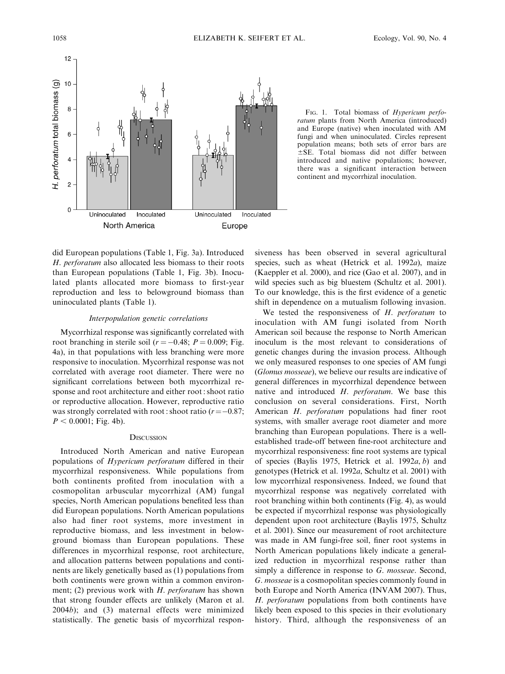

did European populations (Table 1, Fig. 3a). Introduced H. perforatum also allocated less biomass to their roots than European populations (Table 1, Fig. 3b). Inoculated plants allocated more biomass to first-year reproduction and less to belowground biomass than uninoculated plants (Table 1).

#### Interpopulation genetic correlations

Mycorrhizal response was significantly correlated with root branching in sterile soil ( $r = -0.48$ ;  $P = 0.009$ ; Fig. 4a), in that populations with less branching were more responsive to inoculation. Mycorrhizal response was not correlated with average root diameter. There were no significant correlations between both mycorrhizal response and root architecture and either root : shoot ratio or reproductive allocation. However, reproductive ratio was strongly correlated with root : shoot ratio  $(r = -0.87;$  $P < 0.0001$ ; Fig. 4b).

#### **DISCUSSION**

Introduced North American and native European populations of Hypericum perforatum differed in their mycorrhizal responsiveness. While populations from both continents profited from inoculation with a cosmopolitan arbuscular mycorrhizal (AM) fungal species, North American populations benefited less than did European populations. North American populations also had finer root systems, more investment in reproductive biomass, and less investment in belowground biomass than European populations. These differences in mycorrhizal response, root architecture, and allocation patterns between populations and continents are likely genetically based as (1) populations from both continents were grown within a common environment; (2) previous work with  $H$ . *perforatum* has shown that strong founder effects are unlikely (Maron et al. 2004b); and (3) maternal effects were minimized statistically. The genetic basis of mycorrhizal respon-

FIG. 1. Total biomass of Hypericum perforatum plants from North America (introduced) and Europe (native) when inoculated with AM fungi and when uninoculated. Circles represent population means; both sets of error bars are  $\pm$ SE. Total biomass did not differ between introduced and native populations; however, there was a significant interaction between continent and mycorrhizal inoculation.

siveness has been observed in several agricultural species, such as wheat (Hetrick et al. 1992a), maize (Kaeppler et al. 2000), and rice (Gao et al. 2007), and in wild species such as big bluestem (Schultz et al. 2001). To our knowledge, this is the first evidence of a genetic shift in dependence on a mutualism following invasion.

We tested the responsiveness of H. perforatum to inoculation with AM fungi isolated from North American soil because the response to North American inoculum is the most relevant to considerations of genetic changes during the invasion process. Although we only measured responses to one species of AM fungi (Glomus mosseae), we believe our results are indicative of general differences in mycorrhizal dependence between native and introduced H. perforatum. We base this conclusion on several considerations. First, North American H. perforatum populations had finer root systems, with smaller average root diameter and more branching than European populations. There is a wellestablished trade-off between fine-root architecture and mycorrhizal responsiveness: fine root systems are typical of species (Baylis 1975, Hetrick et al. 1992 $a$ ,  $b$ ) and genotypes (Hetrick et al. 1992a, Schultz et al. 2001) with low mycorrhizal responsiveness. Indeed, we found that mycorrhizal response was negatively correlated with root branching within both continents (Fig. 4), as would be expected if mycorrhizal response was physiologically dependent upon root architecture (Baylis 1975, Schultz et al. 2001). Since our measurement of root architecture was made in AM fungi-free soil, finer root systems in North American populations likely indicate a generalized reduction in mycorrhizal response rather than simply a difference in response to G. *mosseae*. Second, G. mosseae is a cosmopolitan species commonly found in both Europe and North America (INVAM 2007). Thus, H. perforatum populations from both continents have likely been exposed to this species in their evolutionary history. Third, although the responsiveness of an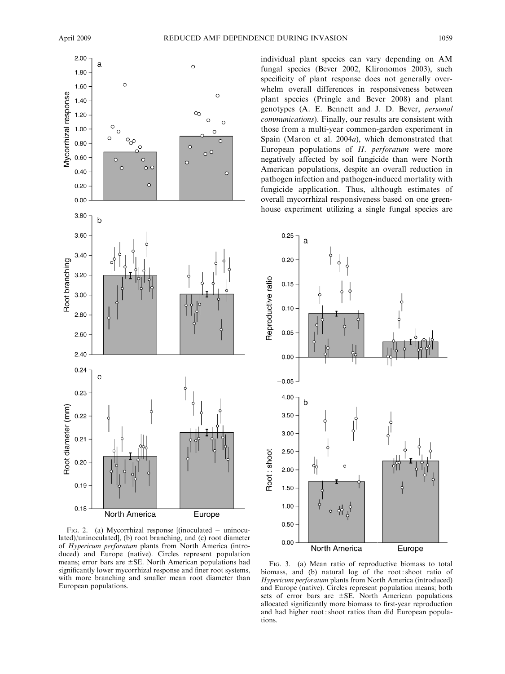

FIG. 2. (a) Mycorrhizal response [(inoculated – uninoculated)/uninoculated], (b) root branching, and (c) root diameter of Hypericum perforatum plants from North America (introduced) and Europe (native). Circles represent population means; error bars are  $\pm$ SE. North American populations had significantly lower mycorrhizal response and finer root systems, with more branching and smaller mean root diameter than European populations.

individual plant species can vary depending on AM fungal species (Bever 2002, Klironomos 2003), such specificity of plant response does not generally overwhelm overall differences in responsiveness between plant species (Pringle and Bever 2008) and plant genotypes (A. E. Bennett and J. D. Bever, personal communications). Finally, our results are consistent with those from a multi-year common-garden experiment in Spain (Maron et al. 2004a), which demonstrated that European populations of H. perforatum were more negatively affected by soil fungicide than were North American populations, despite an overall reduction in pathogen infection and pathogen-induced mortality with fungicide application. Thus, although estimates of overall mycorrhizal responsiveness based on one greenhouse experiment utilizing a single fungal species are



FIG. 3. (a) Mean ratio of reproductive biomass to total biomass, and (b) natural log of the root : shoot ratio of Hypericum perforatum plants from North America (introduced) and Europe (native). Circles represent population means; both sets of error bars are  $\pm$ SE. North American populations allocated significantly more biomass to first-year reproduction and had higher root : shoot ratios than did European populations.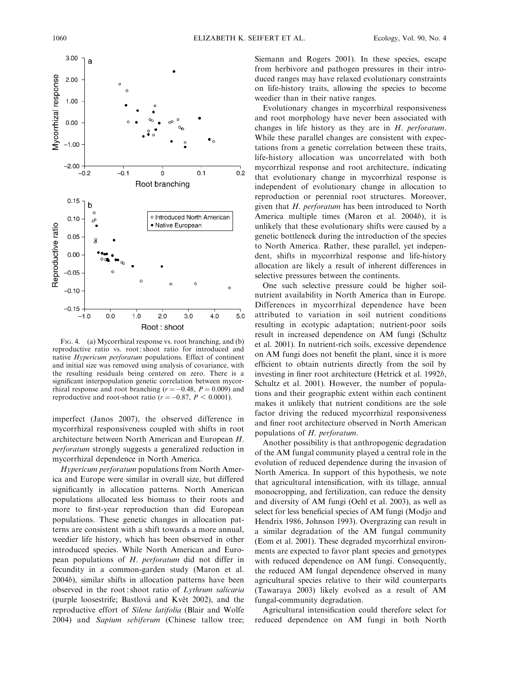

FIG. 4. (a) Mycorrhizal response vs. root branching, and (b) reproductive ratio vs. root : shoot ratio for introduced and native Hypericum perforatum populations. Effect of continent and initial size was removed using analysis of covariance, with the resulting residuals being centered on zero. There is a significant interpopulation genetic correlation between mycorrhizal response and root branching ( $r = -0.48$ ,  $P = 0.009$ ) and reproductive and root-shoot ratio ( $r = -0.87$ ,  $P < 0.0001$ ).

imperfect (Janos 2007), the observed difference in mycorrhizal responsiveness coupled with shifts in root architecture between North American and European H. perforatum strongly suggests a generalized reduction in mycorrhizal dependence in North America.

Hypericum perforatum populations from North America and Europe were similar in overall size, but differed significantly in allocation patterns. North American populations allocated less biomass to their roots and more to first-year reproduction than did European populations. These genetic changes in allocation patterns are consistent with a shift towards a more annual, weedier life history, which has been observed in other introduced species. While North American and European populations of H. perforatum did not differ in fecundity in a common-garden study (Maron et al. 2004b), similar shifts in allocation patterns have been observed in the root : shoot ratio of Lythrum salicaria (purple loosestrife; Bastlová and Květ 2002), and the reproductive effort of Silene latifolia (Blair and Wolfe 2004) and Sapium sebiferum (Chinese tallow tree;

Siemann and Rogers 2001). In these species, escape from herbivore and pathogen pressures in their introduced ranges may have relaxed evolutionary constraints on life-history traits, allowing the species to become weedier than in their native ranges.

Evolutionary changes in mycorrhizal responsiveness and root morphology have never been associated with changes in life history as they are in H. perforatum. While these parallel changes are consistent with expectations from a genetic correlation between these traits, life-history allocation was uncorrelated with both mycorrhizal response and root architecture, indicating that evolutionary change in mycorrhizal response is independent of evolutionary change in allocation to reproduction or perennial root structures. Moreover, given that H. perforatum has been introduced to North America multiple times (Maron et al. 2004b), it is unlikely that these evolutionary shifts were caused by a genetic bottleneck during the introduction of the species to North America. Rather, these parallel, yet independent, shifts in mycorrhizal response and life-history allocation are likely a result of inherent differences in selective pressures between the continents.

One such selective pressure could be higher soilnutrient availability in North America than in Europe. Differences in mycorrhizal dependence have been attributed to variation in soil nutrient conditions resulting in ecotypic adaptation; nutrient-poor soils result in increased dependence on AM fungi (Schultz et al. 2001). In nutrient-rich soils, excessive dependence on AM fungi does not benefit the plant, since it is more efficient to obtain nutrients directly from the soil by investing in finer root architecture (Hetrick et al. 1992b, Schultz et al. 2001). However, the number of populations and their geographic extent within each continent makes it unlikely that nutrient conditions are the sole factor driving the reduced mycorrhizal responsiveness and finer root architecture observed in North American populations of H. perforatum.

Another possibility is that anthropogenic degradation of the AM fungal community played a central role in the evolution of reduced dependence during the invasion of North America. In support of this hypothesis, we note that agricultural intensification, with its tillage, annual monocropping, and fertilization, can reduce the density and diversity of AM fungi (Oehl et al. 2003), as well as select for less beneficial species of AM fungi (Modjo and Hendrix 1986, Johnson 1993). Overgrazing can result in a similar degradation of the AM fungal community (Eom et al. 2001). These degraded mycorrhizal environments are expected to favor plant species and genotypes with reduced dependence on AM fungi. Consequently, the reduced AM fungal dependence observed in many agricultural species relative to their wild counterparts (Tawaraya 2003) likely evolved as a result of AM fungal-community degradation.

Agricultural intensification could therefore select for reduced dependence on AM fungi in both North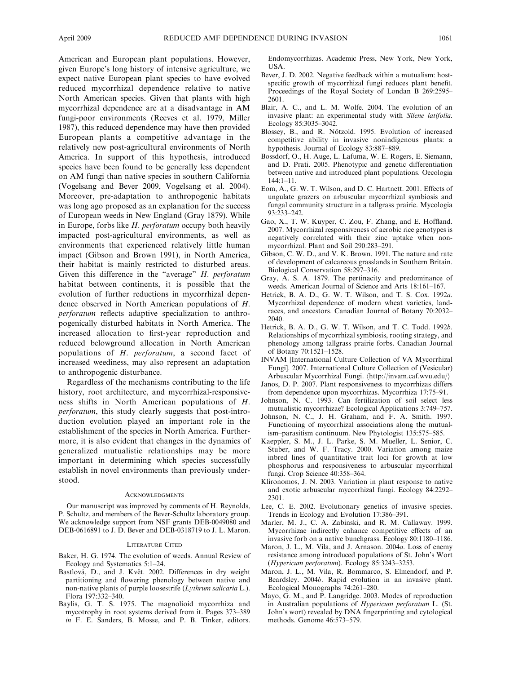American and European plant populations. However, given Europe's long history of intensive agriculture, we expect native European plant species to have evolved reduced mycorrhizal dependence relative to native North American species. Given that plants with high mycorrhizal dependence are at a disadvantage in AM fungi-poor environments (Reeves et al. 1979, Miller 1987), this reduced dependence may have then provided European plants a competitive advantage in the relatively new post-agricultural environments of North America. In support of this hypothesis, introduced species have been found to be generally less dependent on AM fungi than native species in southern California (Vogelsang and Bever 2009, Vogelsang et al. 2004). Moreover, pre-adaptation to anthropogenic habitats was long ago proposed as an explanation for the success of European weeds in New England (Gray 1879). While in Europe, forbs like  $H$ . perforatum occupy both heavily impacted post-agricultural environments, as well as environments that experienced relatively little human impact (Gibson and Brown 1991), in North America, their habitat is mainly restricted to disturbed areas. Given this difference in the "average" H. perforatum habitat between continents, it is possible that the evolution of further reductions in mycorrhizal dependence observed in North American populations of H. perforatum reflects adaptive specialization to anthropogenically disturbed habitats in North America. The increased allocation to first-year reproduction and reduced belowground allocation in North American populations of H. perforatum, a second facet of increased weediness, may also represent an adaptation to anthropogenic disturbance.

Regardless of the mechanisms contributing to the life history, root architecture, and mycorrhizal-responsiveness shifts in North American populations of H. perforatum, this study clearly suggests that post-introduction evolution played an important role in the establishment of the species in North America. Furthermore, it is also evident that changes in the dynamics of generalized mutualistic relationships may be more important in determining which species successfully establish in novel environments than previously understood.

#### **ACKNOWLEDGMENTS**

Our manuscript was improved by comments of H. Reynolds, P. Schultz, and members of the Bever-Schultz laboratory group. We acknowledge support from NSF grants DEB-0049080 and DEB-0616891 to J. D. Bever and DEB-0318719 to J. L. Maron.

#### LITERATURE CITED

Baker, H. G. 1974. The evolution of weeds. Annual Review of Ecology and Systematics 5:1–24.

- Bastlová, D., and J. Květ. 2002. Differences in dry weight partitioning and flowering phenology between native and non-native plants of purple loosestrife (Lythrum salicaria L.). Flora 197:332–340.
- Baylis, G. T. S. 1975. The magnolioid mycorrhiza and mycotrophy in root systems derived from it. Pages 373–389 in F. E. Sanders, B. Mosse, and P. B. Tinker, editors.

Endomycorrhizas. Academic Press, New York, New York, USA.

- Bever, J. D. 2002. Negative feedback within a mutualism: hostspecific growth of mycorrhizal fungi reduces plant benefit. Proceedings of the Royal Society of Londan B 269:2595– 2601.
- Blair, A. C., and L. M. Wolfe. 2004. The evolution of an invasive plant: an experimental study with Silene latifolia. Ecology 85:3035–3042.
- Blossey, B., and R. Nötzold. 1995. Evolution of increased competitive ability in invasive nonindigenous plants: a hypothesis. Journal of Ecology 83:887–889.
- Bossdorf, O., H. Auge, L. Lafuma, W. E. Rogers, E. Siemann, and D. Prati. 2005. Phenotypic and genetic differentiation between native and introduced plant populations. Oecologia  $144 \cdot 1 - 11$ .
- Eom, A., G. W. T. Wilson, and D. C. Hartnett. 2001. Effects of ungulate grazers on arbuscular mycorrhizal symbiosis and fungal community structure in a tallgrass prairie. Mycologia 93:233–242.
- Gao, X., T. W. Kuyper, C. Zou, F. Zhang, and E. Hoffland. 2007. Mycorrhizal responsiveness of aerobic rice genotypes is negatively correlated with their zinc uptake when nonmycorrhizal. Plant and Soil 290:283–291.
- Gibson, C. W. D., and V. K. Brown. 1991. The nature and rate of development of calcareous grasslands in Southern Britain. Biological Conservation 58:297–316.
- Gray, A. S. A. 1879. The pertinacity and predominance of weeds. American Journal of Science and Arts 18:161–167.
- Hetrick, B. A. D., G. W. T. Wilson, and T. S. Cox. 1992a. Mycorrhizal dependence of modern wheat varieties, landraces, and ancestors. Canadian Journal of Botany 70:2032– 2040.
- Hetrick, B. A. D., G. W. T. Wilson, and T. C. Todd. 1992b. Relationships of mycorrhizal symbiosis, rooting strategy, and phenology among tallgrass prairie forbs. Canadian Journal of Botany 70:1521–1528.
- INVAM [International Culture Collection of VA Mycorrhizal Fungi]. 2007. International Culture Collection of (Vesicular) Arbuscular Mycorrhizal Fungi. (http://invam.caf.wvu.edu/)
- Janos, D. P. 2007. Plant responsiveness to mycorrhizas differs from dependence upon mycorrhizas. Mycorrhiza 17:75–91.
- Johnson, N. C. 1993. Can fertilization of soil select less mutualistic mycorrhizae? Ecological Applications 3:749–757.
- Johnson, N. C., J. H. Graham, and F. A. Smith. 1997. Functioning of mycorrhizal associations along the mutualism–parasitism continuum. New Phytologist 135:575–585.
- Kaeppler, S. M., J. L. Parke, S. M. Mueller, L. Senior, C. Stuber, and W. F. Tracy. 2000. Variation among maize inbred lines of quantitative trait loci for growth at low phosphorus and responsiveness to arbuscular mycorrhizal fungi. Crop Science 40:358–364.
- Klironomos, J. N. 2003. Variation in plant response to native and exotic arbuscular mycorrhizal fungi. Ecology 84:2292– 2301.
- Lee, C. E. 2002. Evolutionary genetics of invasive species. Trends in Ecology and Evolution 17:386–391.
- Marler, M. J., C. A. Zabinski, and R. M. Callaway. 1999. Mycorrhizae indirectly enhance competitive effects of an invasive forb on a native bunchgrass. Ecology 80:1180–1186.
- Maron, J. L., M. Vila, and J. Arnason. 2004a. Loss of enemy resistance among introduced populations of St. John's Wort (Hypericum perforatum). Ecology 85:3243–3253.
- Maron, J. L., M. Vila, R. Bommarco, S. Elmendorf, and P. Beardsley. 2004b. Rapid evolution in an invasive plant. Ecological Monographs 74:261–280.
- Mayo, G. M., and P. Langridge. 2003. Modes of reproduction in Australian populations of Hypericum perforatum L. (St. John's wort) revealed by DNA fingerprinting and cytological methods. Genome 46:573–579.